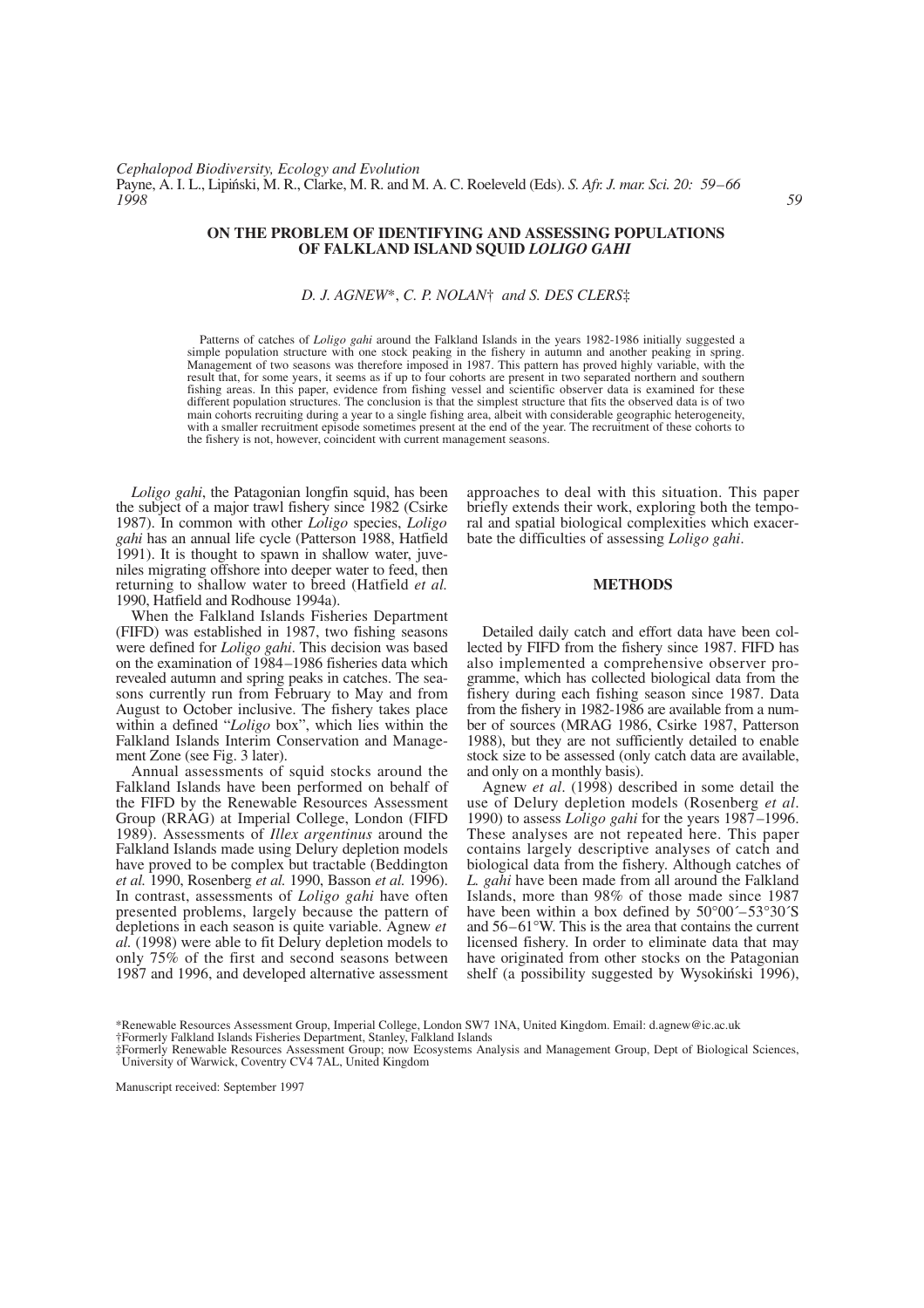## **ON THE PROBLEM OF IDENTIFYING AND ASSESSING POPULATIONS OF FALKLAND ISLAND SQUID** *LOLIGO GAHI*

## *D. J. AGNEW*\*, *C. P. NOLAN*† *and S. DES CLERS*‡

Patterns of catches of *Loligo gahi* around the Falkland Islands in the years 1982-1986 initially suggested a simple population structure with one stock peaking in the fishery in autumn and another peaking in spring. Management of two seasons was therefore imposed in 1987. This pattern has proved highly variable, with the result that, for some years, it seems as if up to four cohorts are present in two separated northern and southern fishing areas. In this paper, evidence from fishing vessel and scientific observer data is examined for these different population structures. The conclusion is that the simplest structure that fits the observed data is of two main cohorts recruiting during a year to a single fishing area, albeit with considerable geographic heterogeneity, with a smaller recruitment episode sometimes present at the end of the year. The recruitment of these cohorts to the fishery is not, however, coincident with current management seasons.

*Loligo gahi*, the Patagonian longfin squid, has been the subject of a major trawl fishery since 1982 (Csirke 1987). In common with other *Loligo* species, *Loligo gahi* has an annual life cycle (Patterson 1988, Hatfield 1991). It is thought to spawn in shallow water, juveniles migrating offshore into deeper water to feed, then returning to shallow water to breed (Hatfield *et al.* 1990, Hatfield and Rodhouse 1994a).

When the Falkland Islands Fisheries Department (FIFD) was established in 1987, two fishing seasons were defined for *Loligo gahi*. This decision was based on the examination of 1984–1986 fisheries data which revealed autumn and spring peaks in catches. The seasons currently run from February to May and from August to October inclusive. The fishery takes place within a defined "*Loligo* box", which lies within the Falkland Islands Interim Conservation and Management Zone (see Fig. 3 later).

Annual assessments of squid stocks around the Falkland Islands have been performed on behalf of the FIFD by the Renewable Resources Assessment Group (RRAG) at Imperial College, London (FIFD 1989). Assessments of *Illex argentinus* around the Falkland Islands made using Delury depletion models have proved to be complex but tractable (Beddington *et al.* 1990, Rosenberg *et al.* 1990, Basson *et al.* 1996). In contrast, assessments of *Loligo gahi* have often presented problems, largely because the pattern of depletions in each season is quite variable. Agnew *et al.* (1998) were able to fit Delury depletion models to only 75% of the first and second seasons between 1987 and 1996, and developed alternative assessment approaches to deal with this situation. This paper briefly extends their work, exploring both the temporal and spatial biological complexities which exacerbate the difficulties of assessing *Loligo gahi*.

#### **METHODS**

Detailed daily catch and effort data have been collected by FIFD from the fishery since 1987. FIFD has also implemented a comprehensive observer programme, which has collected biological data from the fishery during each fishing season since 1987. Data from the fishery in 1982-1986 are available from a number of sources (MRAG 1986, Csirke 1987, Patterson 1988), but they are not sufficiently detailed to enable stock size to be assessed (only catch data are available, and only on a monthly basis).

Agnew *et al*. (1998) described in some detail the use of Delury depletion models (Rosenberg *et al*. 1990) to assess *Loligo gahi* for the years 1987–1996. These analyses are not repeated here. This paper contains largely descriptive analyses of catch and biological data from the fishery. Although catches of *L. gahi* have been made from all around the Falkland Islands, more than 98% of those made since 1987 have been within a box defined by  $50^{\circ}00^{\circ} - 53^{\circ}30^{\circ}$ S and 56–61°W. This is the area that contains the current licensed fishery. In order to eliminate data that may have originated from other stocks on the Patagonian shelf (a possibility suggested by Wysokiński 1996),

Manuscript received: September 1997

<sup>\*</sup>Renewable Resources Assessment Group, Imperial College, London SW7 1NA, United Kingdom. Email: d.agnew@ic.ac.uk

<sup>†</sup>Formerly Falkland Islands Fisheries Department, Stanley, Falkland Islands

<sup>‡</sup>Formerly Renewable Resources Assessment Group; now Ecosystems Analysis and Management Group, Dept of Biological Sciences, University of Warwick, Coventry CV4 7AL, United Kingdom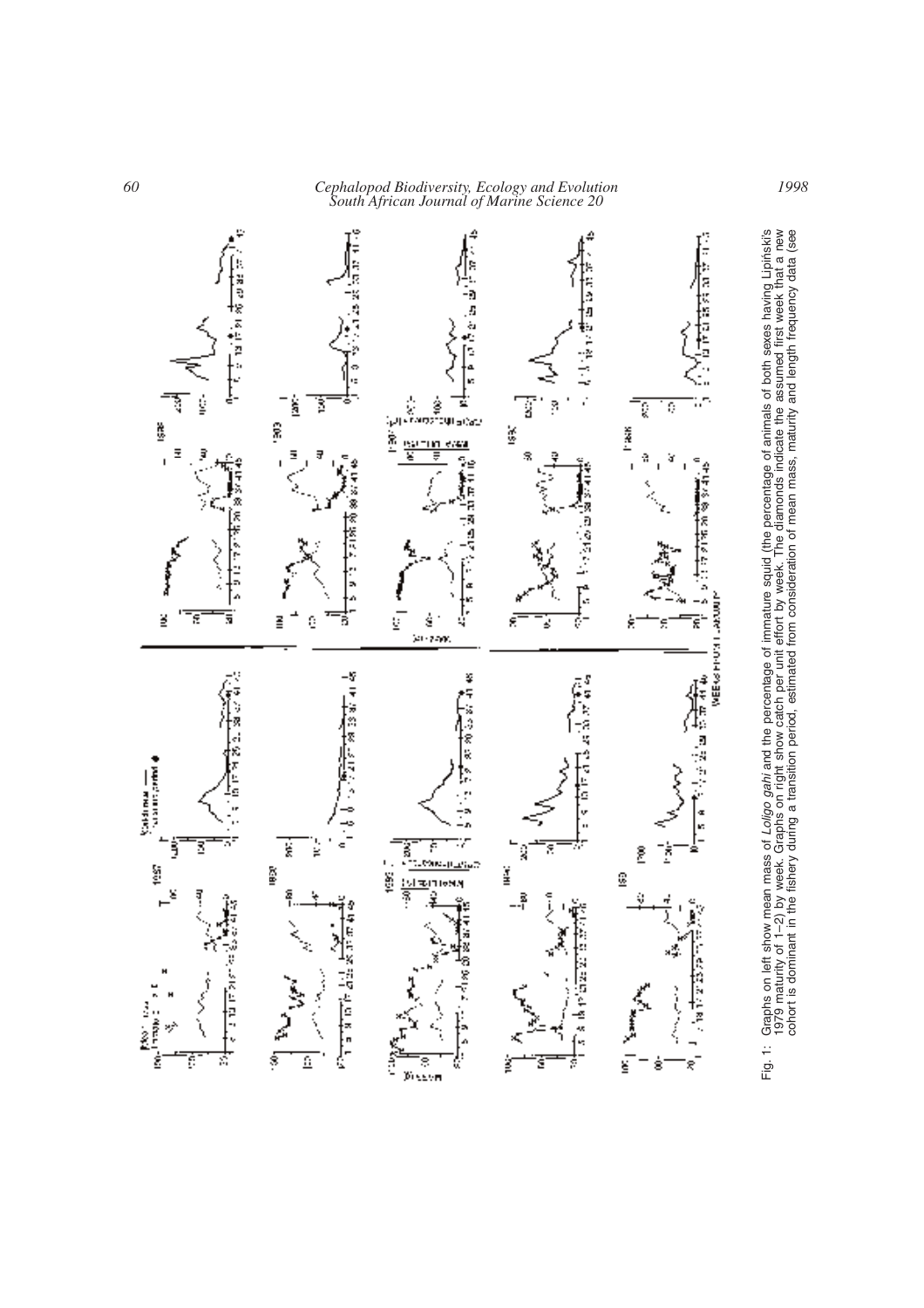*60 Cephalopod Biodiversity, Ecology and Evolution South African Journal of Marine Science 20*



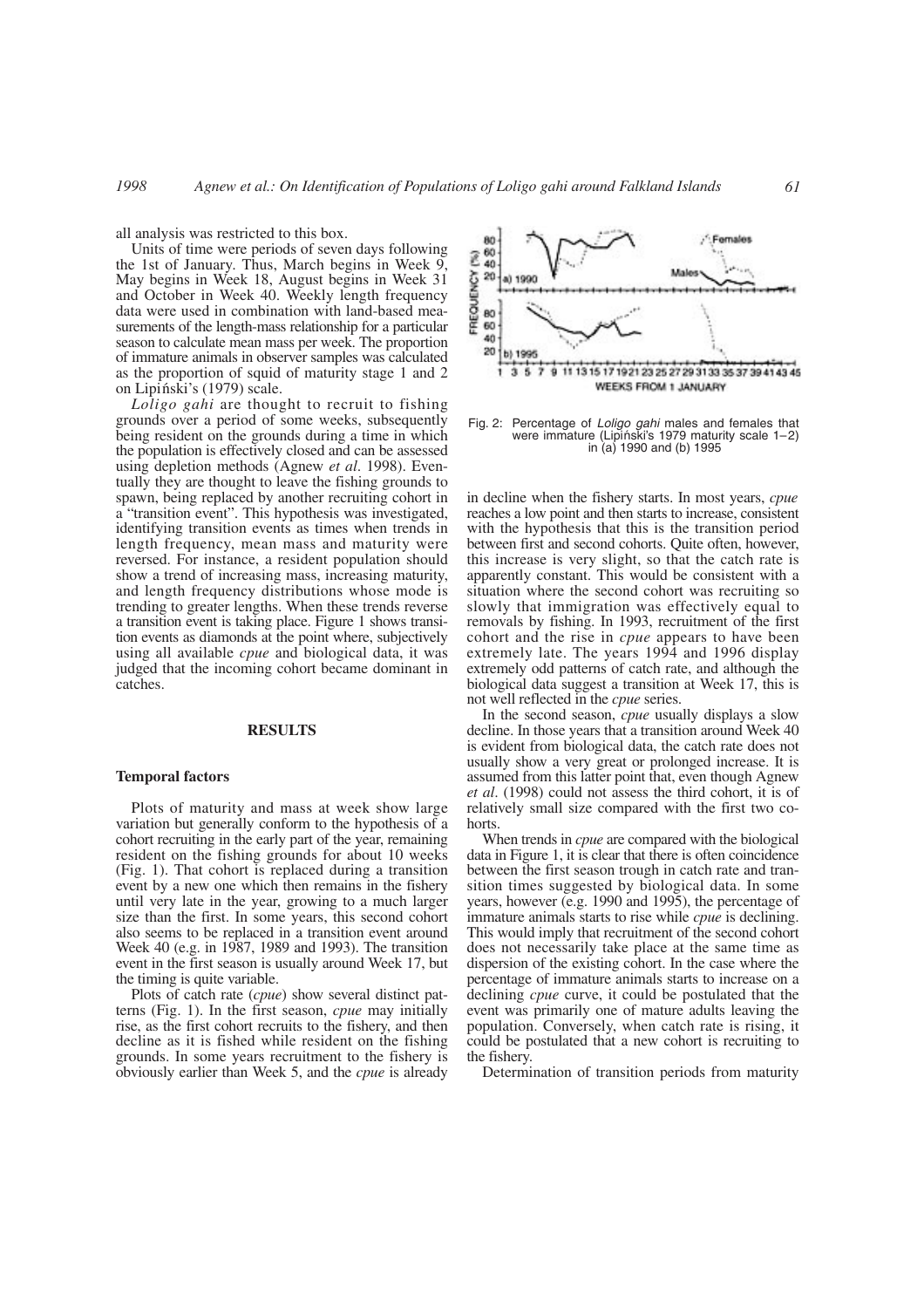all analysis was restricted to this box.

Units of time were periods of seven days following the 1st of January. Thus, March begins in Week 9, May begins in Week 18, August begins in Week 31 and October in Week 40. Weekly length frequency data were used in combination with land-based measurements of the length-mass relationship for a particular season to calculate mean mass per week. The proportion of immature animals in observer samples was calculated as the proportion of squid of maturity stage 1 and 2 on Lipiński's (1979) scale.

*Loligo gahi* are thought to recruit to fishing grounds over a period of some weeks, subsequently being resident on the grounds during a time in which the population is effectively closed and can be assessed using depletion methods (Agnew *et al*. 1998). Eventually they are thought to leave the fishing grounds to spawn, being replaced by another recruiting cohort in a "transition event". This hypothesis was investigated, identifying transition events as times when trends in length frequency, mean mass and maturity were reversed. For instance, a resident population should show a trend of increasing mass, increasing maturity, and length frequency distributions whose mode is trending to greater lengths. When these trends reverse a transition event is taking place. Figure 1 shows transition events as diamonds at the point where, subjectively using all available *cpue* and biological data, it was judged that the incoming cohort became dominant in catches.

#### **RESULTS**

#### **Temporal factors**

Plots of maturity and mass at week show large variation but generally conform to the hypothesis of a cohort recruiting in the early part of the year, remaining resident on the fishing grounds for about 10 weeks (Fig. 1). That cohort is replaced during a transition event by a new one which then remains in the fishery until very late in the year, growing to a much larger size than the first. In some years, this second cohort also seems to be replaced in a transition event around Week 40 (e.g. in 1987, 1989 and 1993). The transition event in the first season is usually around Week 17, but the timing is quite variable.

Plots of catch rate (*cpue*) show several distinct patterns (Fig. 1). In the first season, *cpue* may initially rise, as the first cohort recruits to the fishery, and then decline as it is fished while resident on the fishing grounds. In some years recruitment to the fishery is obviously earlier than Week 5, and the *cpue* is already



Fig. 2: Percentage of *Loligo gahi* males and females that were immature (Lipiński's 1979 maturity scale  $1-2$ ) in (a) 1990 and (b) 1995

in decline when the fishery starts. In most years, *cpue* reaches a low point and then starts to increase, consistent with the hypothesis that this is the transition period between first and second cohorts. Quite often, however, this increase is very slight, so that the catch rate is apparently constant. This would be consistent with a situation where the second cohort was recruiting so slowly that immigration was effectively equal to removals by fishing. In 1993, recruitment of the first cohort and the rise in *cpue* appears to have been extremely late. The years 1994 and 1996 display extremely odd patterns of catch rate, and although the biological data suggest a transition at Week 17, this is not well reflected in the *cpue* series.

In the second season, *cpue* usually displays a slow decline. In those years that a transition around Week 40 is evident from biological data, the catch rate does not usually show a very great or prolonged increase. It is assumed from this latter point that, even though Agnew *et al*. (1998) could not assess the third cohort, it is of relatively small size compared with the first two cohorts.

When trends in *cpue* are compared with the biological data in Figure 1, it is clear that there is often coincidence between the first season trough in catch rate and transition times suggested by biological data. In some years, however (e.g. 1990 and 1995), the percentage of immature animals starts to rise while *cpue* is declining. This would imply that recruitment of the second cohort does not necessarily take place at the same time as dispersion of the existing cohort. In the case where the percentage of immature animals starts to increase on a declining *cpue* curve, it could be postulated that the event was primarily one of mature adults leaving the population. Conversely, when catch rate is rising, it could be postulated that a new cohort is recruiting to the fishery.

Determination of transition periods from maturity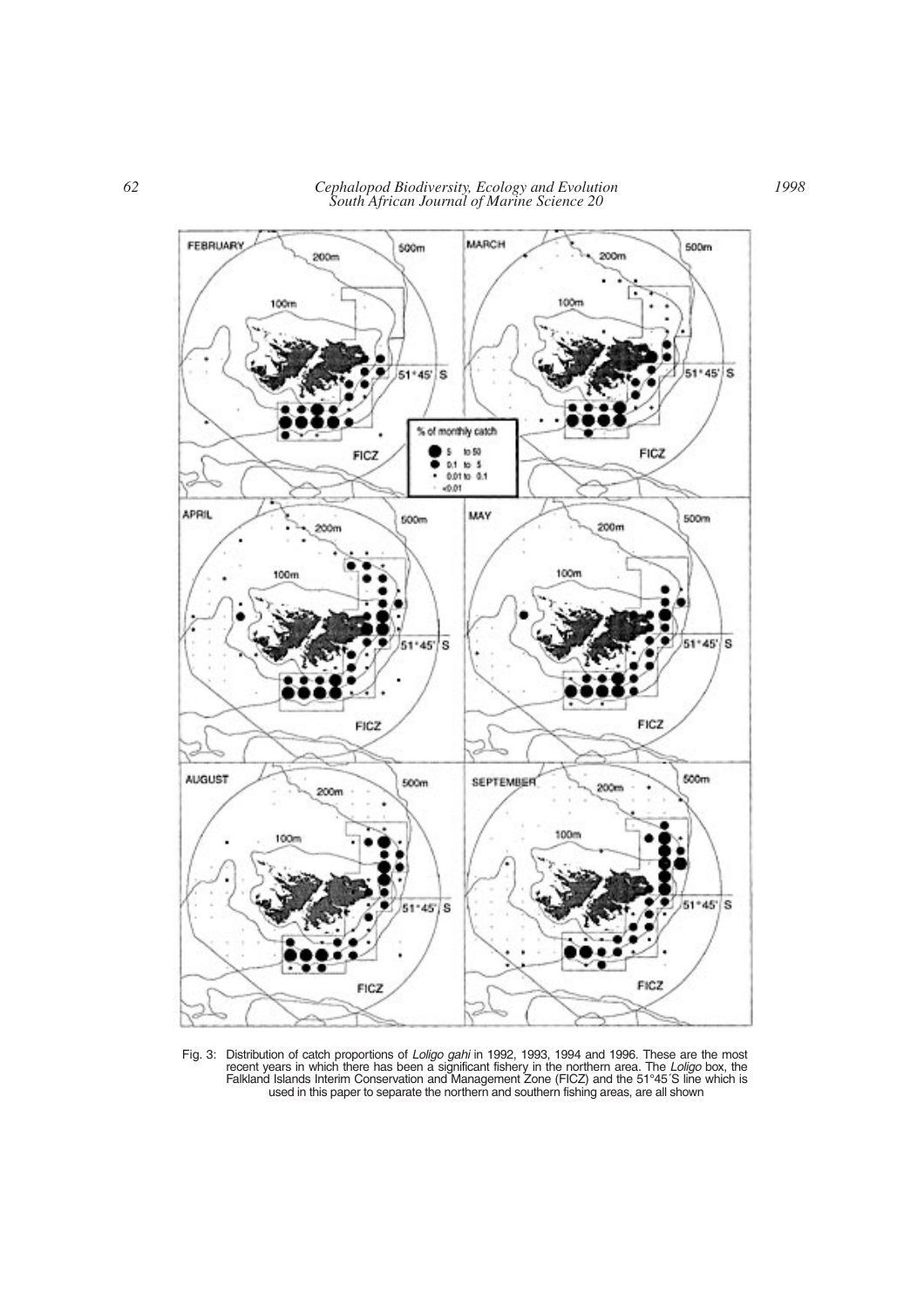*62 Cephalopod Biodiversity, Ecology and Evolution South African Journal of Marine Science 20*



Fig. 3: Distribution of catch proportions of *Loligo gahi* in 1992, 1993, 1994 and 1996. These are the most recent years in which there has been a significant fishery in the northern area. The *Loligo* box, the Falkland Islands Interim Conservation and Management Zone (FICZ) and the 51°45´S line which is used in this paper to separate the northern and southern fishing areas, are all shown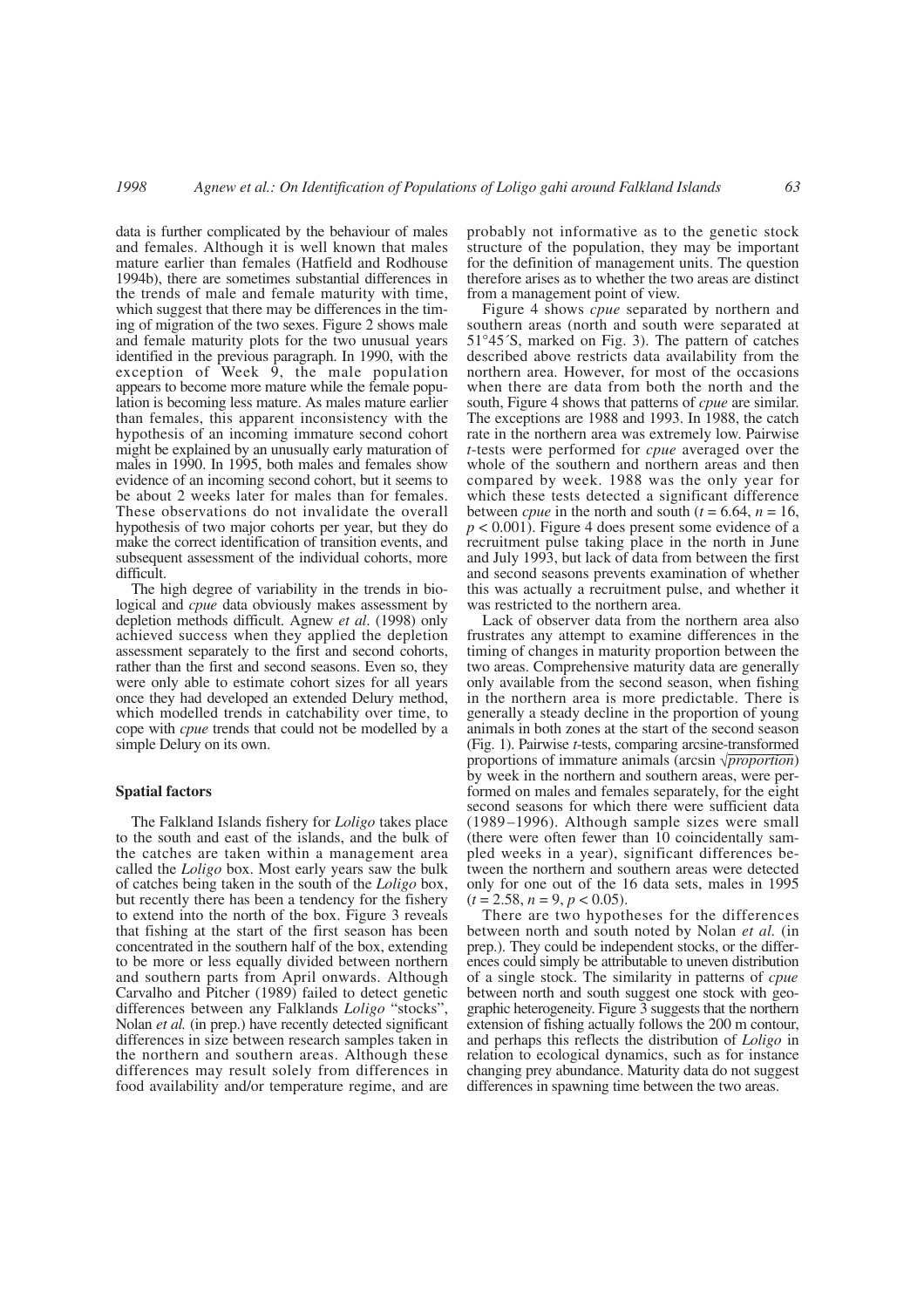data is further complicated by the behaviour of males and females. Although it is well known that males mature earlier than females (Hatfield and Rodhouse 1994b), there are sometimes substantial differences in the trends of male and female maturity with time, which suggest that there may be differences in the timing of migration of the two sexes. Figure 2 shows male and female maturity plots for the two unusual years identified in the previous paragraph. In 1990, with the exception of Week  $\overline{9}$ , the male population appears to become more mature while the female population is becoming less mature. As males mature earlier than females, this apparent inconsistency with the hypothesis of an incoming immature second cohort might be explained by an unusually early maturation of males in 1990. In 1995, both males and females show evidence of an incoming second cohort, but it seems to be about 2 weeks later for males than for females. These observations do not invalidate the overall hypothesis of two major cohorts per year, but they do make the correct identification of transition events, and subsequent assessment of the individual cohorts, more difficult.

The high degree of variability in the trends in biological and *cpue* data obviously makes assessment by depletion methods difficult. Agnew *et al*. (1998) only achieved success when they applied the depletion assessment separately to the first and second cohorts, rather than the first and second seasons. Even so, they were only able to estimate cohort sizes for all years once they had developed an extended Delury method, which modelled trends in catchability over time, to cope with *cpue* trends that could not be modelled by a simple Delury on its own.

### **Spatial factors**

The Falkland Islands fishery for *Loligo* takes place to the south and east of the islands, and the bulk of the catches are taken within a management area called the *Loligo* box. Most early years saw the bulk of catches being taken in the south of the *Loligo* box, but recently there has been a tendency for the fishery to extend into the north of the box. Figure 3 reveals that fishing at the start of the first season has been concentrated in the southern half of the box, extending to be more or less equally divided between northern and southern parts from April onwards. Although Carvalho and Pitcher (1989) failed to detect genetic differences between any Falklands *Loligo* "stocks", Nolan *et al.* (in prep.) have recently detected significant differences in size between research samples taken in the northern and southern areas. Although these differences may result solely from differences in food availability and/or temperature regime, and are

probably not informative as to the genetic stock structure of the population, they may be important for the definition of management units. The question therefore arises as to whether the two areas are distinct from a management point of view.

Figure 4 shows *cpue* separated by northern and southern areas (north and south were separated at 51°45´S, marked on Fig. 3). The pattern of catches described above restricts data availability from the northern area. However, for most of the occasions when there are data from both the north and the south, Figure 4 shows that patterns of *cpue* are similar. The exceptions are 1988 and 1993. In 1988, the catch rate in the northern area was extremely low. Pairwise *t*-tests were performed for *cpue* averaged over the whole of the southern and northern areas and then compared by week. 1988 was the only year for which these tests detected a significant difference between *cpue* in the north and south ( $t = 6.64$ ,  $n = 16$ ,  $p < 0.001$ ). Figure 4 does present some evidence of a recruitment pulse taking place in the north in June and July 1993, but lack of data from between the first and second seasons prevents examination of whether this was actually a recruitment pulse, and whether it was restricted to the northern area.

Lack of observer data from the northern area also frustrates any attempt to examine differences in the timing of changes in maturity proportion between the two areas. Comprehensive maturity data are generally only available from the second season, when fishing in the northern area is more predictable. There is generally a steady decline in the proportion of young animals in both zones at the start of the second season (Fig. 1). Pairwise *t*-tests, comparing arcsine-transformed proportions of immature animals (arcsin √*proportion*) by week in the northern and southern areas, were performed on males and females separately, for the eight second seasons for which there were sufficient data (1989–1996). Although sample sizes were small (there were often fewer than 10 coincidentally sampled weeks in a year), significant differences between the northern and southern areas were detected only for one out of the 16 data sets, males in 1995  $(t = 2.58, n = 9, p < 0.05)$ .

There are two hypotheses for the differences between north and south noted by Nolan *et al.* (in prep.). They could be independent stocks, or the differences could simply be attributable to uneven distribution of a single stock. The similarity in patterns of *cpue* between north and south suggest one stock with geographic heterogeneity. Figure 3 suggests that the northern extension of fishing actually follows the 200 m contour, and perhaps this reflects the distribution of *Loligo* in relation to ecological dynamics, such as for instance changing prey abundance. Maturity data do not suggest differences in spawning time between the two areas.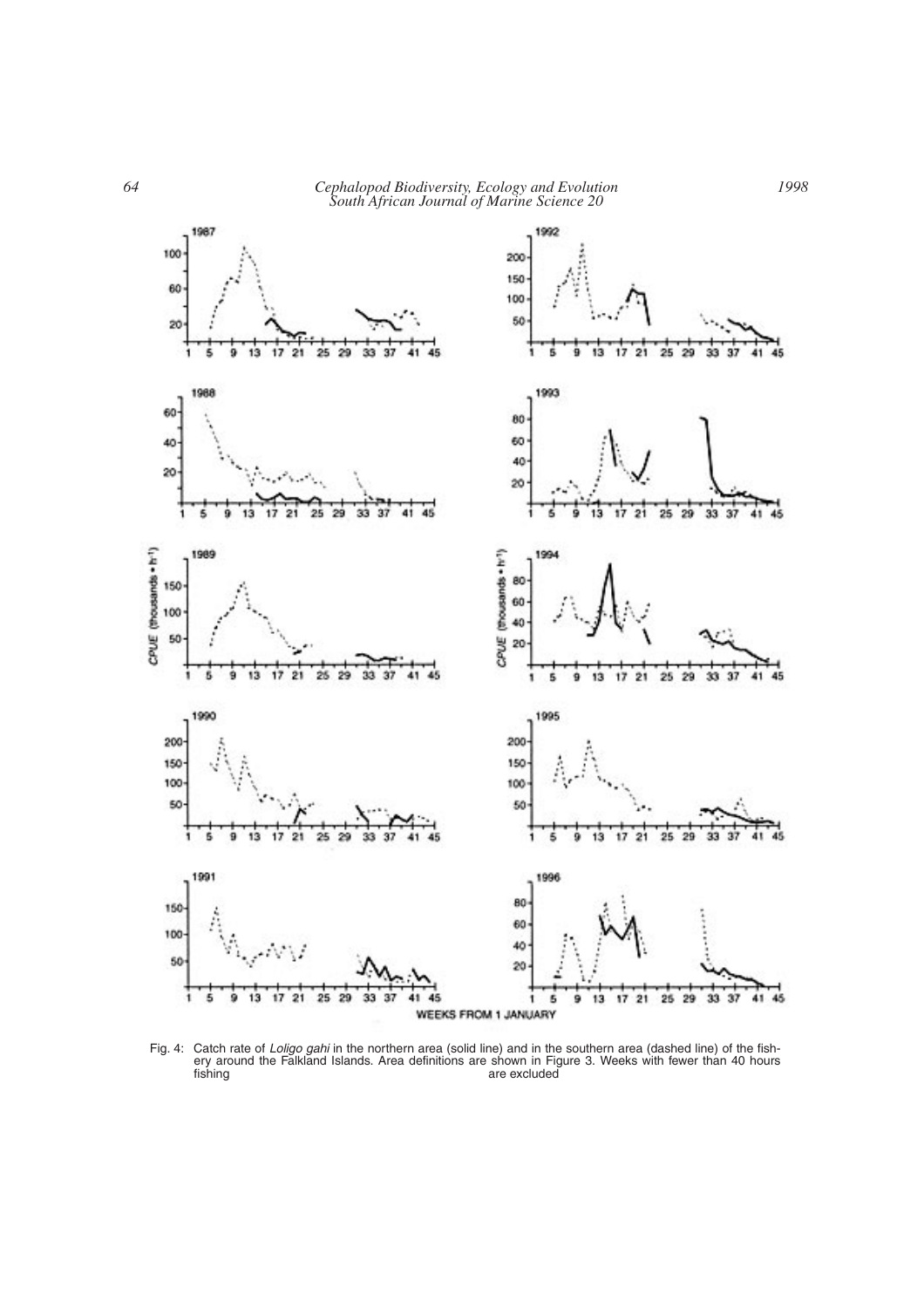*64 Cephalopod Biodiversity, Ecology and Evolution South African Journal of Marine Science 20*



Fig. 4: Catch rate of *Loligo gahi* in the northern area (solid line) and in the southern area (dashed line) of the fishery around the Falkland Islands. Area definitions are shown in Figure 3. Weeks with fewer than 40 hours fishing are excluded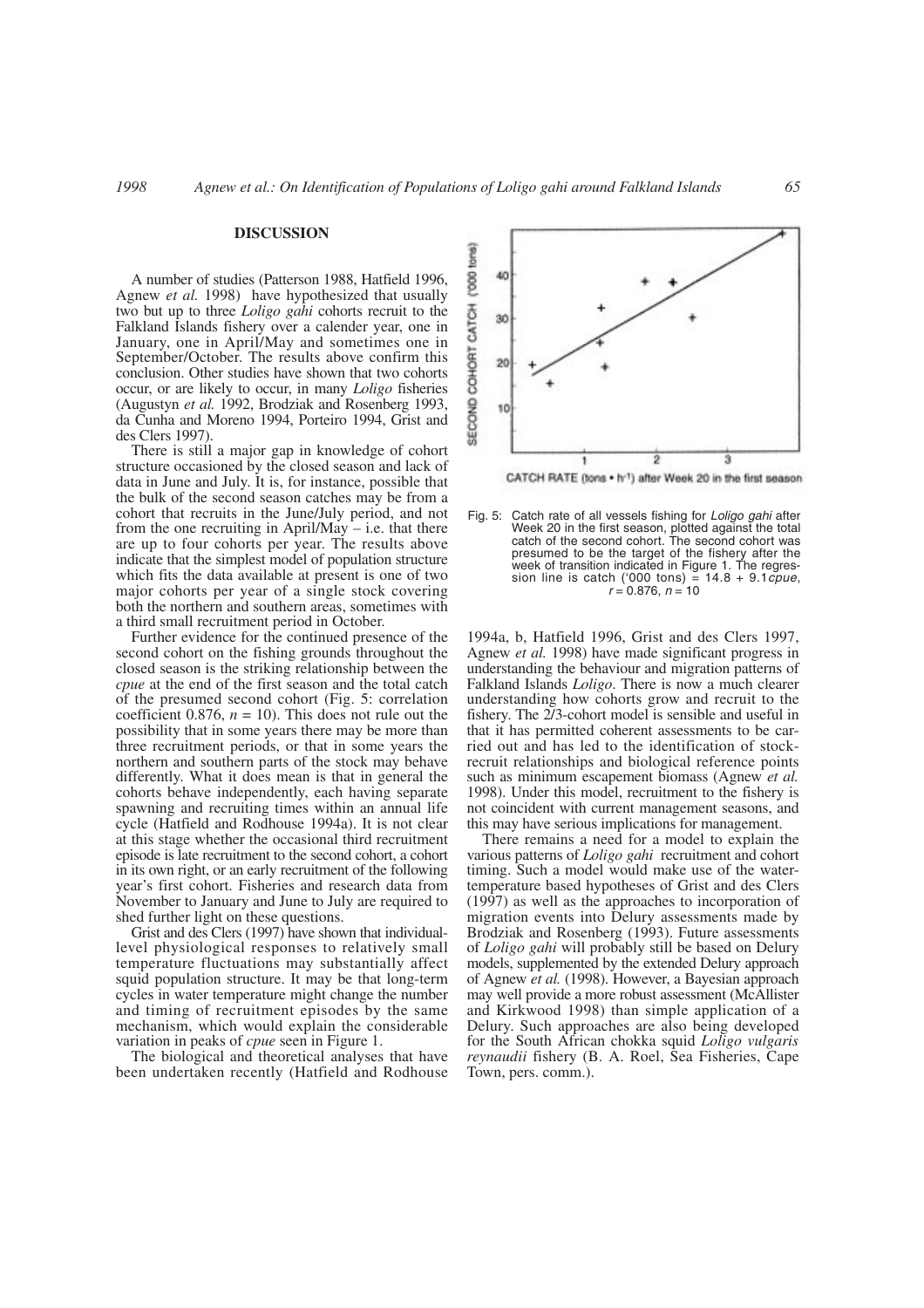#### **DISCUSSION**

A number of studies (Patterson 1988, Hatfield 1996, Agnew *et al.* 1998) have hypothesized that usually two but up to three *Loligo gahi* cohorts recruit to the Falkland Islands fishery over a calender year, one in January, one in April/May and sometimes one in September/October. The results above confirm this conclusion. Other studies have shown that two cohorts occur, or are likely to occur, in many *Loligo* fisheries (Augustyn *et al.* 1992, Brodziak and Rosenberg 1993, da Cunha and Moreno 1994, Porteiro 1994, Grist and des Clers 1997).

There is still a major gap in knowledge of cohort structure occasioned by the closed season and lack of data in June and July. It is, for instance, possible that the bulk of the second season catches may be from a cohort that recruits in the June/July period, and not from the one recruiting in April/May  $-$  i.e. that there are up to four cohorts per year. The results above indicate that the simplest model of population structure which fits the data available at present is one of two major cohorts per year of a single stock covering both the northern and southern areas, sometimes with a third small recruitment period in October.

Further evidence for the continued presence of the second cohort on the fishing grounds throughout the closed season is the striking relationship between the *cpue* at the end of the first season and the total catch of the presumed second cohort (Fig. 5: correlation coefficient 0.876,  $n = 10$ ). This does not rule out the possibility that in some years there may be more than three recruitment periods, or that in some years the northern and southern parts of the stock may behave differently. What it does mean is that in general the cohorts behave independently, each having separate spawning and recruiting times within an annual life cycle (Hatfield and Rodhouse 1994a). It is not clear at this stage whether the occasional third recruitment episode is late recruitment to the second cohort, a cohort in its own right, or an early recruitment of the following year's first cohort. Fisheries and research data from November to January and June to July are required to shed further light on these questions.

Grist and des Clers (1997) have shown that individuallevel physiological responses to relatively small temperature fluctuations may substantially affect squid population structure. It may be that long-term cycles in water temperature might change the number and timing of recruitment episodes by the same mechanism, which would explain the considerable variation in peaks of *cpue* seen in Figure 1.

The biological and theoretical analyses that have been undertaken recently (Hatfield and Rodhouse



CATCH RATE (tons . h-1) after Week 20 in the first season

Fig. 5: Catch rate of all vessels fishing for *Loligo gahi* after Week 20 in the first season, plotted against the total catch of the second cohort. The second cohort was presumed to be the target of the fishery after the week of transition indicated in Figure 1. The regression line is catch ('000 tons) = 14.8 + 9.1*cpue*,  $r = 0.876, n = 10$ 

1994a, b, Hatfield 1996, Grist and des Clers 1997, Agnew *et al.* 1998) have made significant progress in understanding the behaviour and migration patterns of Falkland Islands *Loligo*. There is now a much clearer understanding how cohorts grow and recruit to the fishery. The 2/3-cohort model is sensible and useful in that it has permitted coherent assessments to be carried out and has led to the identification of stockrecruit relationships and biological reference points such as minimum escapement biomass (Agnew *et al.* 1998). Under this model, recruitment to the fishery is not coincident with current management seasons, and this may have serious implications for management.

There remains a need for a model to explain the various patterns of *Loligo gahi* recruitment and cohort timing. Such a model would make use of the watertemperature based hypotheses of Grist and des Clers (1997) as well as the approaches to incorporation of migration events into Delury assessments made by Brodziak and Rosenberg (1993). Future assessments of *Loligo gahi* will probably still be based on Delury models, supplemented by the extended Delury approach of Agnew *et al.* (1998). However, a Bayesian approach may well provide a more robust assessment (McAllister and Kirkwood 1998) than simple application of a Delury. Such approaches are also being developed for the South African chokka squid *Loligo vulgaris reynaudii* fishery (B. A. Roel, Sea Fisheries, Cape Town, pers. comm.).